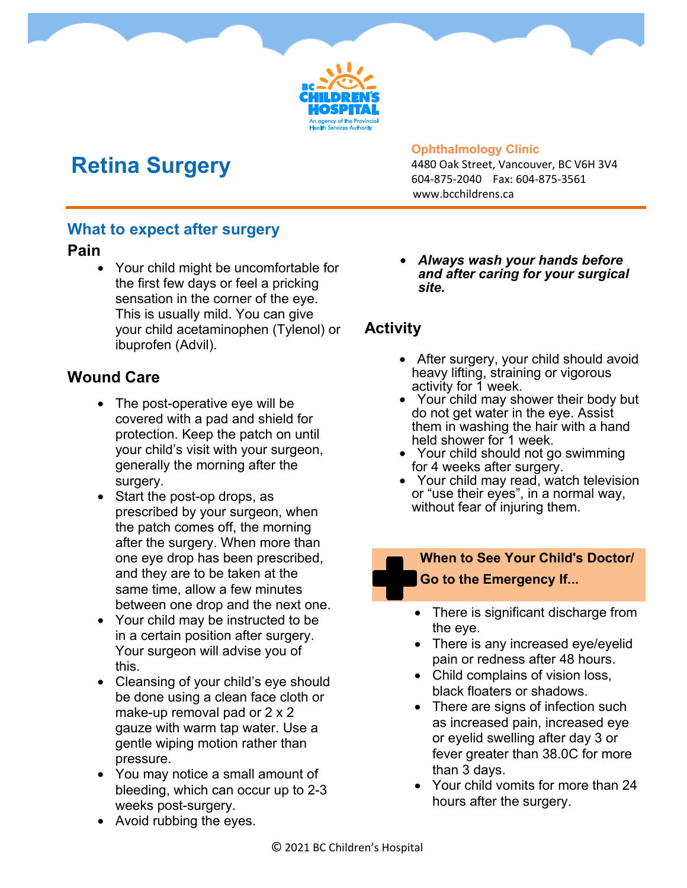

# **Retina Surgery**

#### **Ophthalmology Clinic**

4480 Oak Street, Vancouver, BC V6H 3V4 604-875-2040 Fax: 604-875-3561 www.bcchildrens.ca

#### **What to expect after surgery**

#### **Pain**

• Your child might be uncomfortable for the first few days or feel a pricking sensation in the corner of the eye. This is usually mild. You can give your child acetaminophen (Tylenol) or ibuprofen (Advil).

### **Wound Care**

- The post-operative eye will be covered with a pad and shield for protection. Keep the patch on until your child's visit with your surgeon, generally the morning after the surgery.
- Start the post-op drops, as prescribed by your surgeon, when the patch comes off, the morning after the surgery. When more than one eye drop has been prescribed, and they are to be taken at the same time, allow a few minutes between one drop and the next one.
- Your child may be instructed to be in a certain position after surgery. Your surgeon will advise you of this.
- Cleansing of your child's eye should be done using a clean face cloth or make-up removal pad or 2 x 2 gauze with warm tap water. Use a gentle wiping motion rather than pressure.
- You may notice a small amount of bleeding, which can occur up to 2-3 weeks post-surgery.

• *Always wash your hands before and after caring for your surgical site.*

### **Activity**

- After surgery, your child should avoid heavy lifting, straining or vigorous activity for 1 week.
- Your child may shower their body but do not get water in the eye. Assist them in washing the hair with a hand held shower for 1 week.
- Your child should not go swimming for 4 weeks after surgery.
- Your child may read, watch television or "use their eyes", in a normal way, without fear of injuring them.

#### **When to See Your Child's Doctor/ Go to the Emergency If...**

- There is significant discharge from the eye.
- There is any increased eye/eyelid pain or redness after 48 hours.
- Child complains of vision loss, black floaters or shadows.
- There are signs of infection such as increased pain, increased eye or eyelid swelling after day 3 or fever greater than 38.0C for more than 3 days.
- Your child vomits for more than 24 hours after the surgery.

• Avoid rubbing the eyes.